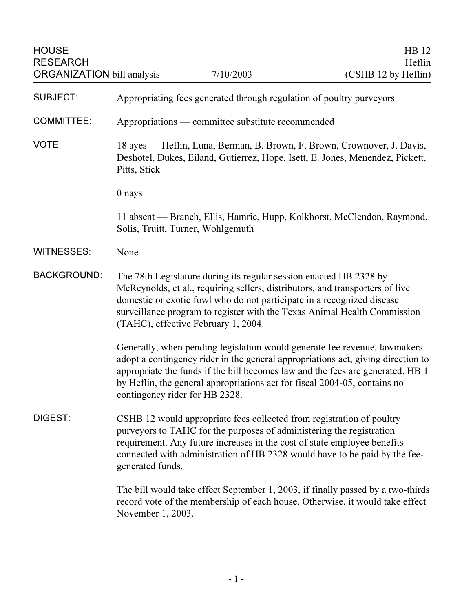| <b>HOUSE</b><br><b>RESEARCH</b><br><b>ORGANIZATION bill analysis</b> |                                                                                                                                                                           | 7/10/2003                                                                                                                                                                                                                                                            | HB 12<br>Heflin<br>(CSHB 12 by Heflin)                                                                                                                                                                                                          |
|----------------------------------------------------------------------|---------------------------------------------------------------------------------------------------------------------------------------------------------------------------|----------------------------------------------------------------------------------------------------------------------------------------------------------------------------------------------------------------------------------------------------------------------|-------------------------------------------------------------------------------------------------------------------------------------------------------------------------------------------------------------------------------------------------|
| <b>SUBJECT:</b>                                                      | Appropriating fees generated through regulation of poultry purveyors                                                                                                      |                                                                                                                                                                                                                                                                      |                                                                                                                                                                                                                                                 |
| <b>COMMITTEE:</b>                                                    | Appropriations — committee substitute recommended                                                                                                                         |                                                                                                                                                                                                                                                                      |                                                                                                                                                                                                                                                 |
| VOTE:                                                                | 18 ayes — Heflin, Luna, Berman, B. Brown, F. Brown, Crownover, J. Davis,<br>Deshotel, Dukes, Eiland, Gutierrez, Hope, Isett, E. Jones, Menendez, Pickett,<br>Pitts, Stick |                                                                                                                                                                                                                                                                      |                                                                                                                                                                                                                                                 |
|                                                                      | $0$ nays                                                                                                                                                                  |                                                                                                                                                                                                                                                                      |                                                                                                                                                                                                                                                 |
|                                                                      |                                                                                                                                                                           | Solis, Truitt, Turner, Wohlgemuth                                                                                                                                                                                                                                    | 11 absent — Branch, Ellis, Hamric, Hupp, Kolkhorst, McClendon, Raymond,                                                                                                                                                                         |
| <b>WITNESSES:</b>                                                    | None                                                                                                                                                                      |                                                                                                                                                                                                                                                                      |                                                                                                                                                                                                                                                 |
| <b>BACKGROUND:</b>                                                   |                                                                                                                                                                           | The 78th Legislature during its regular session enacted HB 2328 by<br>McReynolds, et al., requiring sellers, distributors, and transporters of live<br>domestic or exotic fowl who do not participate in a recognized disease<br>(TAHC), effective February 1, 2004. | surveillance program to register with the Texas Animal Health Commission                                                                                                                                                                        |
|                                                                      | contingency rider for HB 2328.                                                                                                                                            | by Heflin, the general appropriations act for fiscal 2004-05, contains no                                                                                                                                                                                            | Generally, when pending legislation would generate fee revenue, lawmakers<br>adopt a contingency rider in the general appropriations act, giving direction to<br>appropriate the funds if the bill becomes law and the fees are generated. HB 1 |
| DIGEST:                                                              | generated funds.                                                                                                                                                          | CSHB 12 would appropriate fees collected from registration of poultry<br>purveyors to TAHC for the purposes of administering the registration<br>requirement. Any future increases in the cost of state employee benefits                                            | connected with administration of HB 2328 would have to be paid by the fee-                                                                                                                                                                      |
|                                                                      | November 1, 2003.                                                                                                                                                         |                                                                                                                                                                                                                                                                      | The bill would take effect September 1, 2003, if finally passed by a two-thirds<br>record vote of the membership of each house. Otherwise, it would take effect                                                                                 |